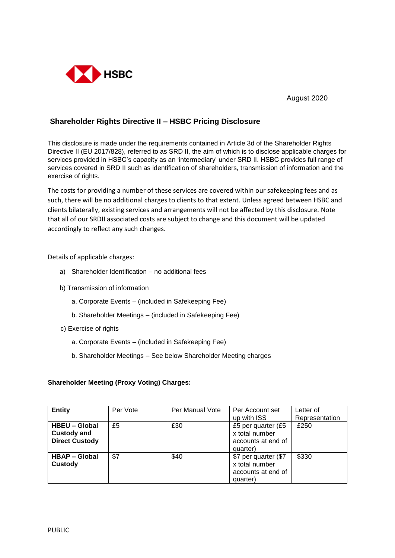

August 2020

## **Shareholder Rights Directive II – HSBC Pricing Disclosure**

This disclosure is made under the requirements contained in Article 3d of the Shareholder Rights Directive II (EU 2017/828), referred to as SRD II, the aim of which is to disclose applicable charges for services provided in HSBC's capacity as an 'intermediary' under SRD II. HSBC provides full range of services covered in SRD II such as identification of shareholders, transmission of information and the exercise of rights.

The costs for providing a number of these services are covered within our safekeeping fees and as such, there will be no additional charges to clients to that extent. Unless agreed between HSBC and clients bilaterally, existing services and arrangements will not be affected by this disclosure. Note that all of our SRDII associated costs are subject to change and this document will be updated accordingly to reflect any such changes.

Details of applicable charges:

- a) Shareholder Identification no additional fees
- b) Transmission of information
	- a. Corporate Events (included in Safekeeping Fee)
	- b. Shareholder Meetings (included in Safekeeping Fee)
- c) Exercise of rights
	- a. Corporate Events (included in Safekeeping Fee)
	- b. Shareholder Meetings See below Shareholder Meeting charges

## **Shareholder Meeting (Proxy Voting) Charges:**

| <b>Entity</b>                                                       | Per Vote | Per Manual Vote | Per Account set                                                          | Letter of      |
|---------------------------------------------------------------------|----------|-----------------|--------------------------------------------------------------------------|----------------|
|                                                                     |          |                 | up with ISS                                                              | Representation |
| <b>HBEU - Global</b><br><b>Custody and</b><br><b>Direct Custody</b> | £5       | £30             | £5 per quarter (£5<br>x total number<br>accounts at end of<br>quarter)   | £250           |
| <b>HBAP – Global</b><br><b>Custody</b>                              | \$7      | \$40            | \$7 per quarter (\$7<br>x total number<br>accounts at end of<br>quarter) | \$330          |